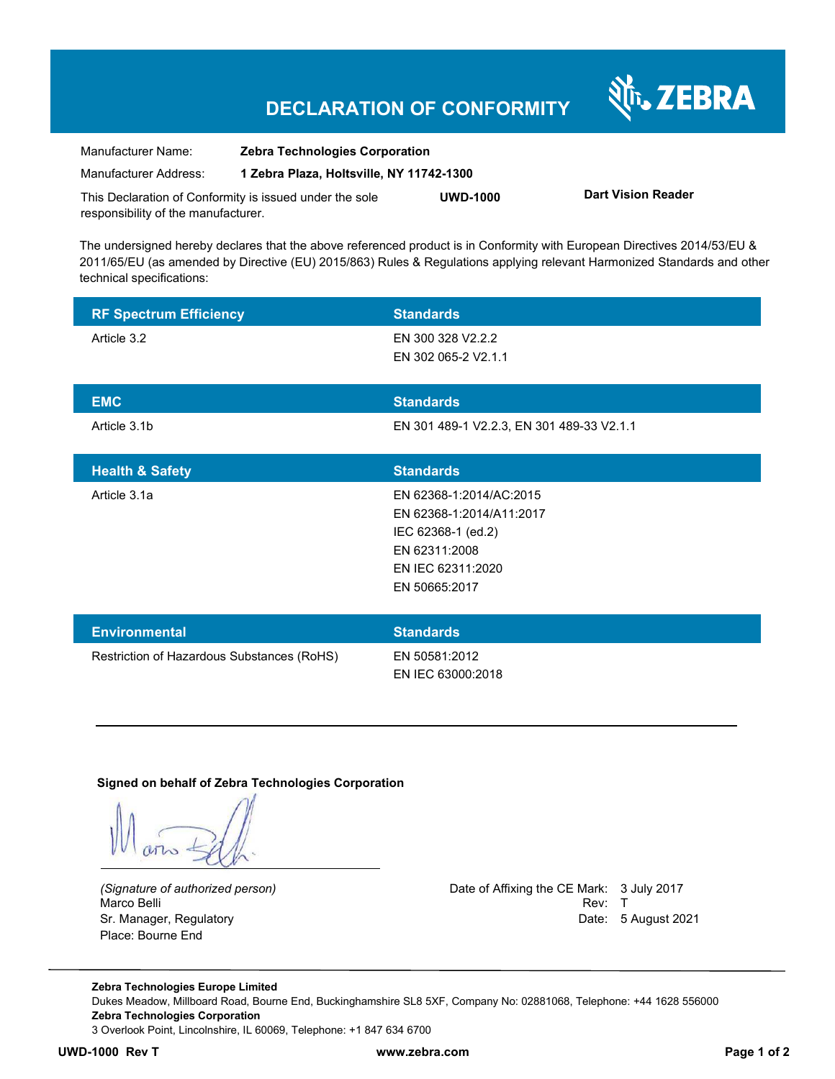## **DECLARATION OF CONFORMITY**

N<sub>T</sub>, ZEBRA

| Manufacturer Name:                                      | <b>Zebra Technologies Corporation</b>    |                 |                           |  |
|---------------------------------------------------------|------------------------------------------|-----------------|---------------------------|--|
| Manufacturer Address:                                   | 1 Zebra Plaza. Holtsville. NY 11742-1300 |                 |                           |  |
| This Declaration of Conformity is issued under the sole |                                          | <b>UWD-1000</b> | <b>Dart Vision Reader</b> |  |
| responsibility of the manufacturer.                     |                                          |                 |                           |  |

The undersigned hereby declares that the above referenced product is in Conformity with European Directives 2014/53/EU & 2011/65/EU (as amended by Directive (EU) 2015/863) Rules & Regulations applying relevant Harmonized Standards and other technical specifications:

| <b>RF Spectrum Efficiency</b>              | <b>Standards</b>                          |
|--------------------------------------------|-------------------------------------------|
| Article 3.2                                | EN 300 328 V2.2.2                         |
|                                            | EN 302 065-2 V2.1.1                       |
| <b>EMC</b>                                 | <b>Standards</b>                          |
| Article 3.1b                               | EN 301 489-1 V2.2.3, EN 301 489-33 V2.1.1 |
|                                            |                                           |
| <b>Health &amp; Safety</b>                 | <b>Standards</b>                          |
| Article 3.1a                               | EN 62368-1:2014/AC:2015                   |
|                                            | EN 62368-1:2014/A11:2017                  |
|                                            | IEC 62368-1 (ed.2)                        |
|                                            | EN 62311:2008                             |
|                                            | EN IEC 62311:2020                         |
|                                            | EN 50665:2017                             |
|                                            |                                           |
| <b>Environmental</b>                       | <b>Standards</b>                          |
| Restriction of Hazardous Substances (RoHS) | EN 50581:2012                             |
|                                            | EN IEC 63000:2018                         |

**Signed on behalf of Zebra Technologies Corporation** 

Marco Belli Place: Bourne End

*(Signature of authorized person)* Date of Affixing the CE Mark: 3 July 2017 Sr. Manager, Regulatory **Date: 5 August 2021** 

**Zebra Technologies Europe Limited**  Dukes Meadow, Millboard Road, Bourne End, Buckinghamshire SL8 5XF, Company No: 02881068, Telephone: +44 1628 556000 **Zebra Technologies Corporation**  3 Overlook Point, Lincolnshire, IL 60069, Telephone: +1 847 634 6700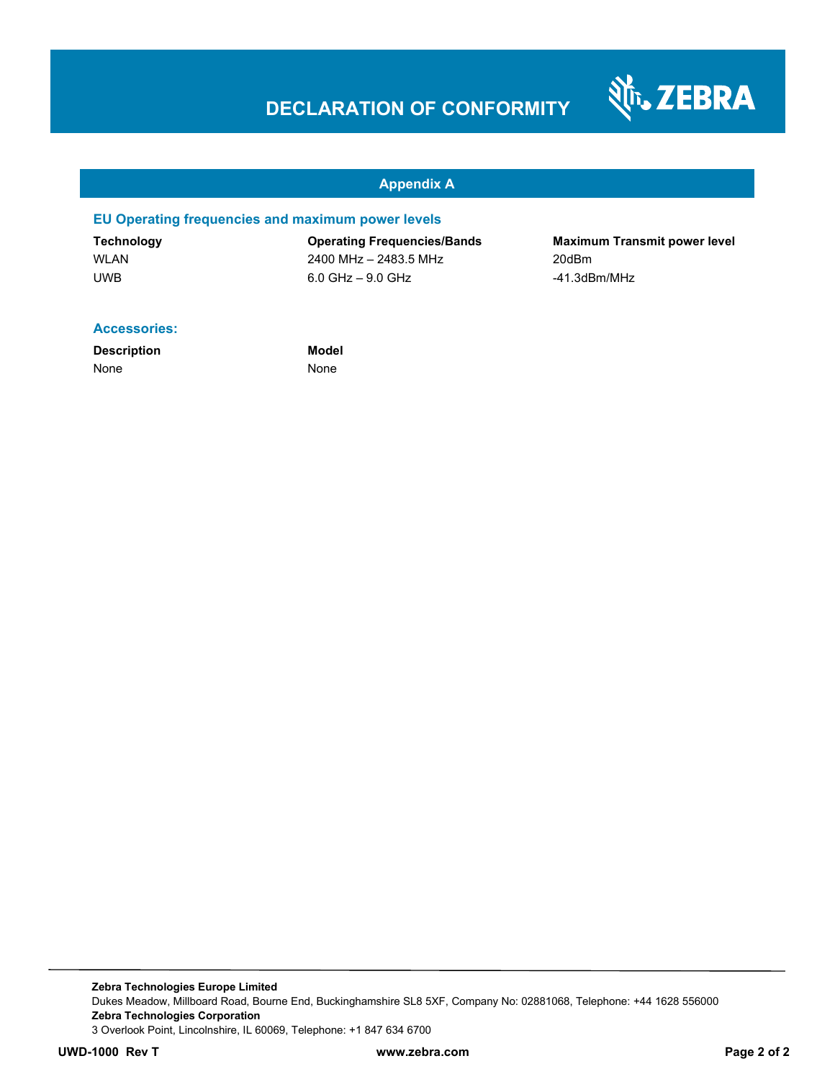# **DECLARATION OF CONFORMITY**



#### **Appendix A**

#### **EU Operating frequencies and maximum power levels**

WLAN 2008 2400 MHz – 2483.5 MHz 200Bm UWB 6.0 GHz – 9.0 GHz -41.3dBm/MHz

**Technology Operating Frequencies/Bands Maximum Transmit power level** 

#### **Accessories:**

**Description Model** None None

**Zebra Technologies Europe Limited**  Dukes Meadow, Millboard Road, Bourne End, Buckinghamshire SL8 5XF, Company No: 02881068, Telephone: +44 1628 556000 **Zebra Technologies Corporation**  3 Overlook Point, Lincolnshire, IL 60069, Telephone: +1 847 634 6700